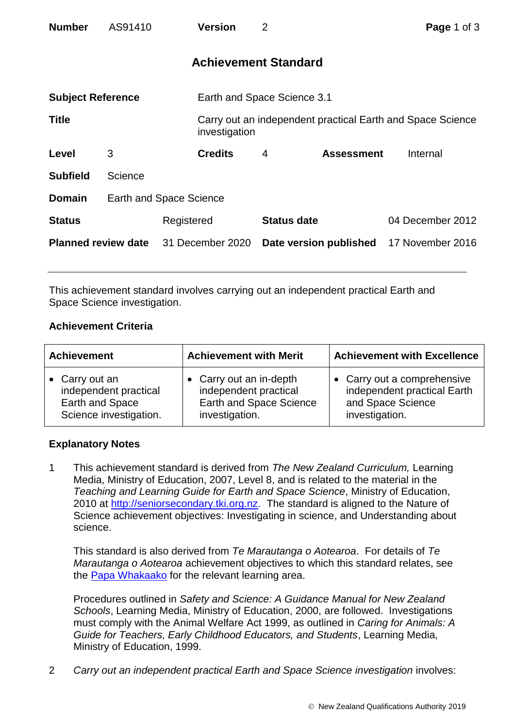| <b>Number</b>              | AS91410 |                                | <b>Version</b>              | 2                           |                   | Page 1 of 3                                                |  |
|----------------------------|---------|--------------------------------|-----------------------------|-----------------------------|-------------------|------------------------------------------------------------|--|
|                            |         |                                |                             | <b>Achievement Standard</b> |                   |                                                            |  |
| <b>Subject Reference</b>   |         |                                | Earth and Space Science 3.1 |                             |                   |                                                            |  |
| <b>Title</b>               |         |                                | investigation               |                             |                   | Carry out an independent practical Earth and Space Science |  |
| Level                      | 3       |                                | <b>Credits</b>              | 4                           | <b>Assessment</b> | Internal                                                   |  |
| <b>Subfield</b>            | Science |                                |                             |                             |                   |                                                            |  |
| <b>Domain</b>              |         | <b>Earth and Space Science</b> |                             |                             |                   |                                                            |  |
| <b>Status</b>              |         | Registered                     |                             | <b>Status date</b>          |                   | 04 December 2012                                           |  |
| <b>Planned review date</b> |         |                                | 31 December 2020            | Date version published      |                   | 17 November 2016                                           |  |

This achievement standard involves carrying out an independent practical Earth and Space Science investigation.

## **Achievement Criteria**

| <b>Achievement</b>     | <b>Achievement with Merit</b>  | <b>Achievement with Excellence</b> |  |  |
|------------------------|--------------------------------|------------------------------------|--|--|
| • Carry out an         | Carry out an in-depth          | • Carry out a comprehensive        |  |  |
| independent practical  | independent practical          | independent practical Earth        |  |  |
| Earth and Space        | <b>Earth and Space Science</b> | and Space Science                  |  |  |
| Science investigation. | investigation.                 | investigation.                     |  |  |

## **Explanatory Notes**

1 This achievement standard is derived from *The New Zealand Curriculum,* Learning Media, Ministry of Education, 2007, Level 8, and is related to the material in the *Teaching and Learning Guide for Earth and Space Science*, Ministry of Education, 2010 at [http://seniorsecondary.tki.org.nz.](http://seniorsecondary.tki.org.nz/) The standard is aligned to the Nature of Science achievement objectives: Investigating in science, and Understanding about science.

This standard is also derived from *Te Marautanga o Aotearoa*. For details of *Te Marautanga o Aotearoa* achievement objectives to which this standard relates, see the [Papa Whakaako](http://tmoa.tki.org.nz/Te-Marautanga-o-Aotearoa/Taumata-Matauranga-a-Motu-Ka-Taea) for the relevant learning area.

Procedures outlined in *Safety and Science: A Guidance Manual for New Zealand Schools*, Learning Media, Ministry of Education, 2000, are followed. Investigations must comply with the Animal Welfare Act 1999, as outlined in *Caring for Animals: A Guide for Teachers, Early Childhood Educators, and Students*, Learning Media, Ministry of Education, 1999.

2 *Carry out an independent practical Earth and Space Science investigation* involves: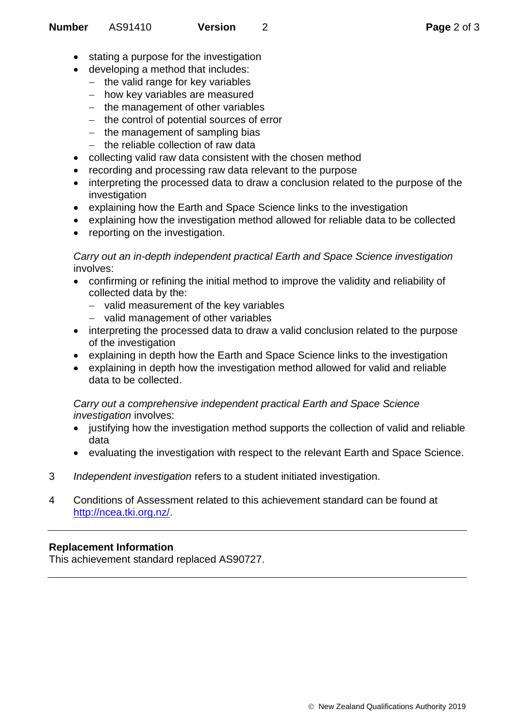- stating a purpose for the investigation
- developing a method that includes:
	- $-$  the valid range for key variables
	- how key variables are measured
	- $-$  the management of other variables
	- $-$  the control of potential sources of error
	- $-$  the management of sampling bias
	- $-$  the reliable collection of raw data
- collecting valid raw data consistent with the chosen method
- recording and processing raw data relevant to the purpose
- interpreting the processed data to draw a conclusion related to the purpose of the investigation
- explaining how the Earth and Space Science links to the investigation
- explaining how the investigation method allowed for reliable data to be collected
- reporting on the investigation.

*Carry out an in-depth independent practical Earth and Space Science investigation* involves:

- confirming or refining the initial method to improve the validity and reliability of collected data by the:
	- valid measurement of the key variables
	- valid management of other variables
- interpreting the processed data to draw a valid conclusion related to the purpose of the investigation
- explaining in depth how the Earth and Space Science links to the investigation
- explaining in depth how the investigation method allowed for valid and reliable data to be collected.

*Carry out a comprehensive independent practical Earth and Space Science investigation* involves:

- justifying how the investigation method supports the collection of valid and reliable data
- evaluating the investigation with respect to the relevant Earth and Space Science.
- 3 *Independent investigation* refers to a student initiated investigation.
- 4 Conditions of Assessment related to this achievement standard can be found at [http://ncea.tki.org.nz/.](http://ncea.tki.org.nz/)

## **Replacement Information**

This achievement standard replaced AS90727.